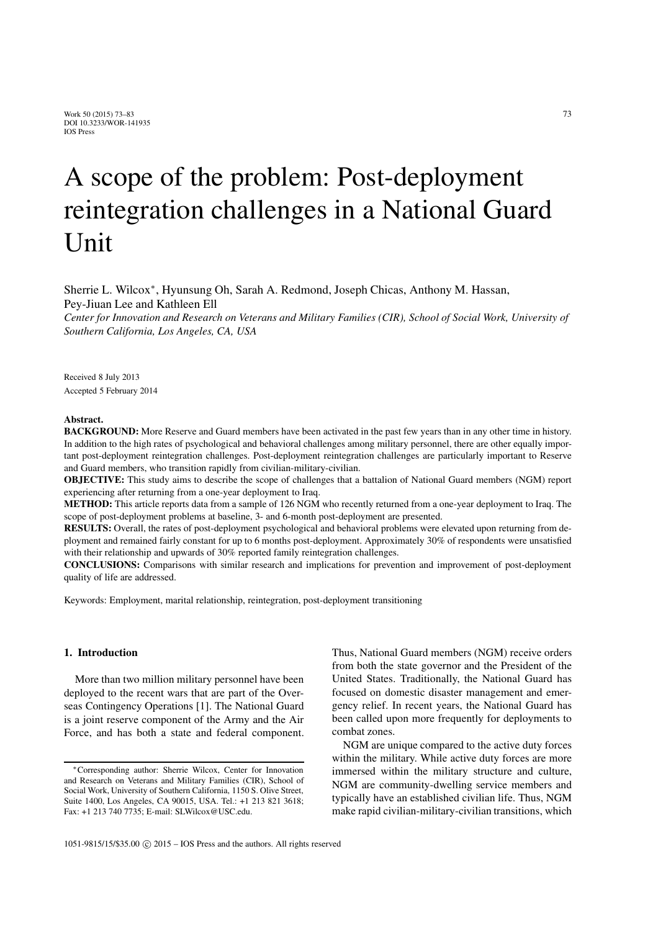# A scope of the problem: Post-deployment reintegration challenges in a National Guard Unit

Sherrie L. Wilcox∗, Hyunsung Oh, Sarah A. Redmond, Joseph Chicas, Anthony M. Hassan, Pey-Jiuan Lee and Kathleen Ell

*Center for Innovation and Research on Veterans and Military Families (CIR), School of Social Work, University of Southern California, Los Angeles, CA, USA*

Received 8 July 2013 Accepted 5 February 2014

#### Abstract.

BACKGROUND: More Reserve and Guard members have been activated in the past few years than in any other time in history. In addition to the high rates of psychological and behavioral challenges among military personnel, there are other equally important post-deployment reintegration challenges. Post-deployment reintegration challenges are particularly important to Reserve and Guard members, who transition rapidly from civilian-military-civilian.

OBJECTIVE: This study aims to describe the scope of challenges that a battalion of National Guard members (NGM) report experiencing after returning from a one-year deployment to Iraq.

METHOD: This article reports data from a sample of 126 NGM who recently returned from a one-year deployment to Iraq. The scope of post-deployment problems at baseline, 3- and 6-month post-deployment are presented.

RESULTS: Overall, the rates of post-deployment psychological and behavioral problems were elevated upon returning from deployment and remained fairly constant for up to 6 months post-deployment. Approximately 30% of respondents were unsatisfied with their relationship and upwards of 30% reported family reintegration challenges.

CONCLUSIONS: Comparisons with similar research and implications for prevention and improvement of post-deployment quality of life are addressed.

Keywords: Employment, marital relationship, reintegration, post-deployment transitioning

# 1. Introduction

More than two million military personnel have been deployed to the recent wars that are part of the Overseas Contingency Operations [1]. The National Guard is a joint reserve component of the Army and the Air Force, and has both a state and federal component. Thus, National Guard members (NGM) receive orders from both the state governor and the President of the United States. Traditionally, the National Guard has focused on domestic disaster management and emergency relief. In recent years, the National Guard has been called upon more frequently for deployments to combat zones.

NGM are unique compared to the active duty forces within the military. While active duty forces are more immersed within the military structure and culture, NGM are community-dwelling service members and typically have an established civilian life. Thus, NGM make rapid civilian-military-civilian transitions, which

<sup>∗</sup>Corresponding author: Sherrie Wilcox, Center for Innovation and Research on Veterans and Military Families (CIR), School of Social Work, University of Southern California, 1150 S. Olive Street, Suite 1400, Los Angeles, CA 90015, USA. Tel.: +1 213 821 3618; Fax: +1 213 740 7735; E-mail: SLWilcox@USC.edu.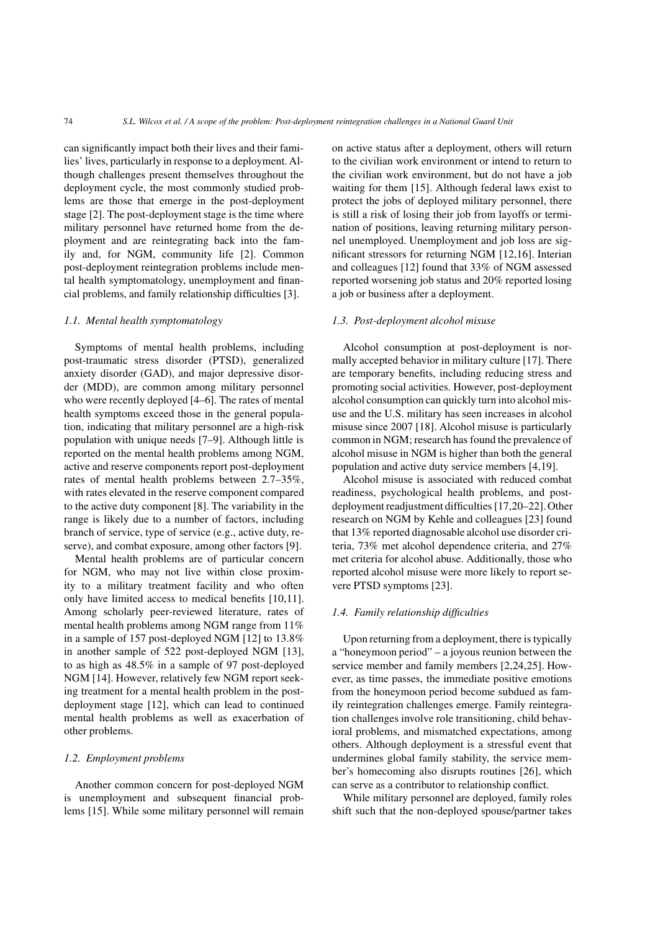can significantly impact both their lives and their families' lives, particularly in response to a deployment. Although challenges present themselves throughout the deployment cycle, the most commonly studied problems are those that emerge in the post-deployment stage [2]. The post-deployment stage is the time where military personnel have returned home from the deployment and are reintegrating back into the family and, for NGM, community life [2]. Common post-deployment reintegration problems include mental health symptomatology, unemployment and financial problems, and family relationship difficulties [3].

## *1.1. Mental health symptomatology*

Symptoms of mental health problems, including post-traumatic stress disorder (PTSD), generalized anxiety disorder (GAD), and major depressive disorder (MDD), are common among military personnel who were recently deployed [4–6]. The rates of mental health symptoms exceed those in the general population, indicating that military personnel are a high-risk population with unique needs [7–9]. Although little is reported on the mental health problems among NGM, active and reserve components report post-deployment rates of mental health problems between 2.7–35%, with rates elevated in the reserve component compared to the active duty component [8]. The variability in the range is likely due to a number of factors, including branch of service, type of service (e.g., active duty, reserve), and combat exposure, among other factors [9].

Mental health problems are of particular concern for NGM, who may not live within close proximity to a military treatment facility and who often only have limited access to medical benefits [10,11]. Among scholarly peer-reviewed literature, rates of mental health problems among NGM range from 11% in a sample of 157 post-deployed NGM [12] to 13.8% in another sample of 522 post-deployed NGM [13], to as high as 48.5% in a sample of 97 post-deployed NGM [14]. However, relatively few NGM report seeking treatment for a mental health problem in the postdeployment stage [12], which can lead to continued mental health problems as well as exacerbation of other problems.

## *1.2. Employment problems*

Another common concern for post-deployed NGM is unemployment and subsequent financial problems [15]. While some military personnel will remain on active status after a deployment, others will return to the civilian work environment or intend to return to the civilian work environment, but do not have a job waiting for them [15]. Although federal laws exist to protect the jobs of deployed military personnel, there is still a risk of losing their job from layoffs or termination of positions, leaving returning military personnel unemployed. Unemployment and job loss are significant stressors for returning NGM [12,16]. Interian and colleagues [12] found that 33% of NGM assessed reported worsening job status and 20% reported losing a job or business after a deployment.

# *1.3. Post-deployment alcohol misuse*

Alcohol consumption at post-deployment is normally accepted behavior in military culture [17]. There are temporary benefits, including reducing stress and promoting social activities. However, post-deployment alcohol consumption can quickly turn into alcohol misuse and the U.S. military has seen increases in alcohol misuse since 2007 [18]. Alcohol misuse is particularly common in NGM; research has found the prevalence of alcohol misuse in NGM is higher than both the general population and active duty service members [4,19].

Alcohol misuse is associated with reduced combat readiness, psychological health problems, and postdeployment readjustment difficulties [17,20–22]. Other research on NGM by Kehle and colleagues [23] found that 13% reported diagnosable alcohol use disorder criteria, 73% met alcohol dependence criteria, and 27% met criteria for alcohol abuse. Additionally, those who reported alcohol misuse were more likely to report severe PTSD symptoms [23].

## *1.4. Family relationship difficulties*

Upon returning from a deployment, there is typically a "honeymoon period" – a joyous reunion between the service member and family members [2,24,25]. However, as time passes, the immediate positive emotions from the honeymoon period become subdued as family reintegration challenges emerge. Family reintegration challenges involve role transitioning, child behavioral problems, and mismatched expectations, among others. Although deployment is a stressful event that undermines global family stability, the service member's homecoming also disrupts routines [26], which can serve as a contributor to relationship conflict.

While military personnel are deployed, family roles shift such that the non-deployed spouse/partner takes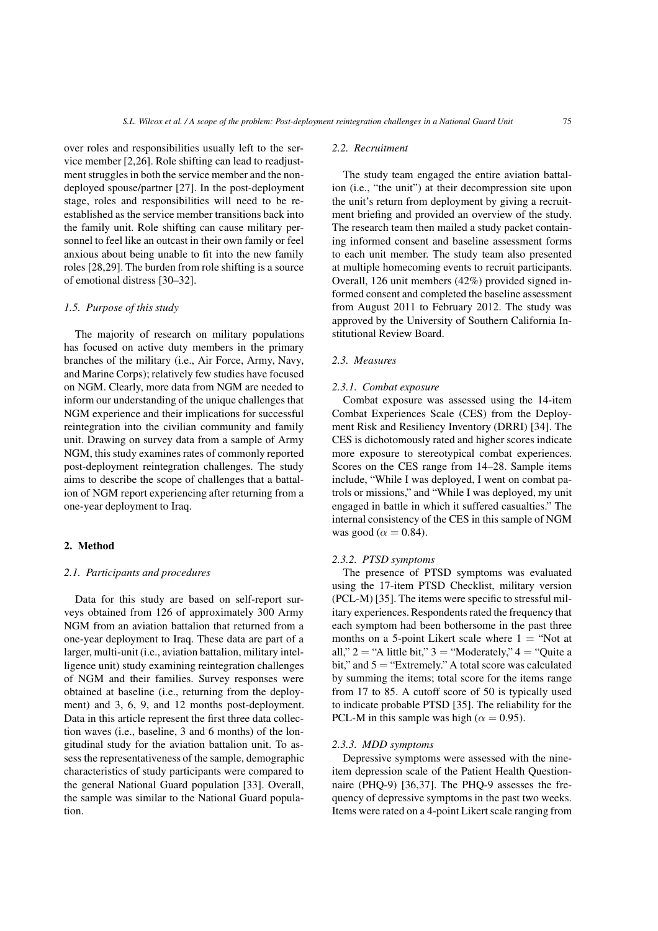over roles and responsibilities usually left to the service member [2,26]. Role shifting can lead to readjustment struggles in both the service member and the nondeployed spouse/partner [27]. In the post-deployment stage, roles and responsibilities will need to be reestablished as the service member transitions back into the family unit. Role shifting can cause military personnel to feel like an outcast in their own family or feel anxious about being unable to fit into the new family roles [28,29]. The burden from role shifting is a source of emotional distress [30–32].

# *1.5. Purpose of this study*

The majority of research on military populations has focused on active duty members in the primary branches of the military (i.e., Air Force, Army, Navy, and Marine Corps); relatively few studies have focused on NGM. Clearly, more data from NGM are needed to inform our understanding of the unique challenges that NGM experience and their implications for successful reintegration into the civilian community and family unit. Drawing on survey data from a sample of Army NGM, this study examines rates of commonly reported post-deployment reintegration challenges. The study aims to describe the scope of challenges that a battalion of NGM report experiencing after returning from a one-year deployment to Iraq.

#### 2. Method

#### *2.1. Participants and procedures*

Data for this study are based on self-report surveys obtained from 126 of approximately 300 Army NGM from an aviation battalion that returned from a one-year deployment to Iraq. These data are part of a larger, multi-unit (i.e., aviation battalion, military intelligence unit) study examining reintegration challenges of NGM and their families. Survey responses were obtained at baseline (i.e., returning from the deployment) and 3, 6, 9, and 12 months post-deployment. Data in this article represent the first three data collection waves (i.e., baseline, 3 and 6 months) of the longitudinal study for the aviation battalion unit. To assess the representativeness of the sample, demographic characteristics of study participants were compared to the general National Guard population [33]. Overall, the sample was similar to the National Guard population.

#### *2.2. Recruitment*

The study team engaged the entire aviation battalion (i.e., "the unit") at their decompression site upon the unit's return from deployment by giving a recruitment briefing and provided an overview of the study. The research team then mailed a study packet containing informed consent and baseline assessment forms to each unit member. The study team also presented at multiple homecoming events to recruit participants. Overall, 126 unit members (42%) provided signed informed consent and completed the baseline assessment from August 2011 to February 2012. The study was approved by the University of Southern California Institutional Review Board.

# *2.3. Measures*

#### *2.3.1. Combat exposure*

Combat exposure was assessed using the 14-item Combat Experiences Scale (CES) from the Deployment Risk and Resiliency Inventory (DRRI) [34]. The CES is dichotomously rated and higher scores indicate more exposure to stereotypical combat experiences. Scores on the CES range from 14–28. Sample items include, "While I was deployed, I went on combat patrols or missions," and "While I was deployed, my unit engaged in battle in which it suffered casualties." The internal consistency of the CES in this sample of NGM was good ( $\alpha = 0.84$ ).

#### *2.3.2. PTSD symptoms*

The presence of PTSD symptoms was evaluated using the 17-item PTSD Checklist, military version (PCL-M) [35]. The items were specific to stressful military experiences. Respondents rated the frequency that each symptom had been bothersome in the past three months on a 5-point Likert scale where  $1 = "Not at$ all,"  $2 = "A$  little bit,"  $3 = "Modernately," 4 = "Quite a$ bit," and  $5 =$  "Extremely." A total score was calculated by summing the items; total score for the items range from 17 to 85. A cutoff score of 50 is typically used to indicate probable PTSD [35]. The reliability for the PCL-M in this sample was high ( $\alpha = 0.95$ ).

## *2.3.3. MDD symptoms*

Depressive symptoms were assessed with the nineitem depression scale of the Patient Health Questionnaire (PHQ-9) [36,37]. The PHQ-9 assesses the frequency of depressive symptoms in the past two weeks. Items were rated on a 4-point Likert scale ranging from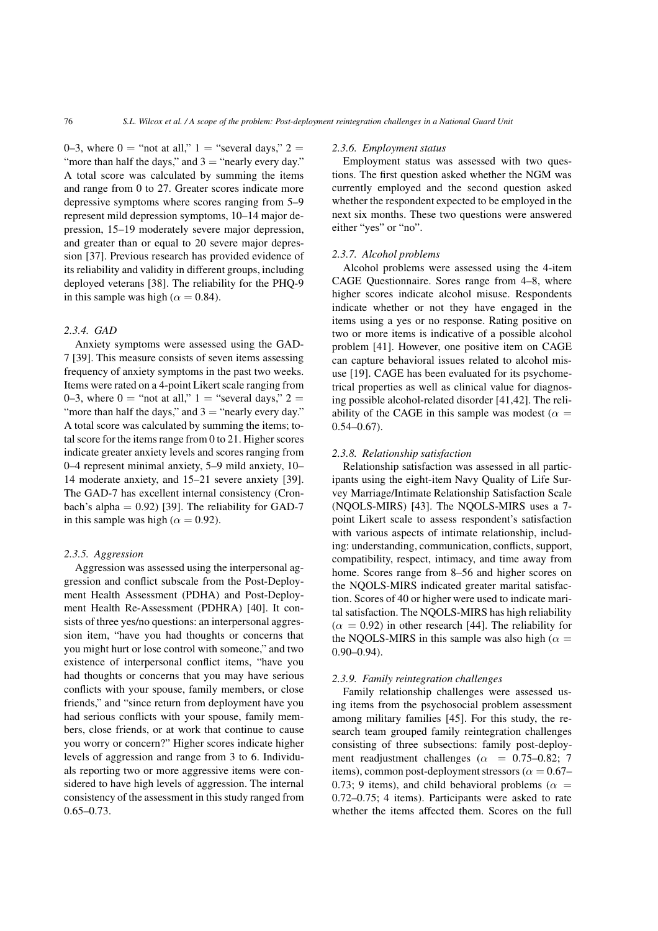0–3, where  $0 =$  "not at all,"  $1 =$  "several days,"  $2 =$ "more than half the days," and  $3 =$  "nearly every day." A total score was calculated by summing the items and range from 0 to 27. Greater scores indicate more depressive symptoms where scores ranging from 5–9 represent mild depression symptoms, 10–14 major depression, 15–19 moderately severe major depression, and greater than or equal to 20 severe major depression [37]. Previous research has provided evidence of its reliability and validity in different groups, including deployed veterans [38]. The reliability for the PHQ-9 in this sample was high ( $\alpha = 0.84$ ).

# *2.3.4. GAD*

Anxiety symptoms were assessed using the GAD-7 [39]. This measure consists of seven items assessing frequency of anxiety symptoms in the past two weeks. Items were rated on a 4-point Likert scale ranging from 0–3, where  $0 =$  "not at all,"  $1 =$  "several days,"  $2 =$ "more than half the days," and  $3 =$  "nearly every day." A total score was calculated by summing the items; total score for the items range from 0 to 21. Higher scores indicate greater anxiety levels and scores ranging from 0–4 represent minimal anxiety, 5–9 mild anxiety, 10– 14 moderate anxiety, and 15–21 severe anxiety [39]. The GAD-7 has excellent internal consistency (Cronbach's alpha =  $0.92$ ) [39]. The reliability for GAD-7 in this sample was high ( $\alpha = 0.92$ ).

#### *2.3.5. Aggression*

Aggression was assessed using the interpersonal aggression and conflict subscale from the Post-Deployment Health Assessment (PDHA) and Post-Deployment Health Re-Assessment (PDHRA) [40]. It consists of three yes/no questions: an interpersonal aggression item, "have you had thoughts or concerns that you might hurt or lose control with someone," and two existence of interpersonal conflict items, "have you had thoughts or concerns that you may have serious conflicts with your spouse, family members, or close friends," and "since return from deployment have you had serious conflicts with your spouse, family members, close friends, or at work that continue to cause you worry or concern?" Higher scores indicate higher levels of aggression and range from 3 to 6. Individuals reporting two or more aggressive items were considered to have high levels of aggression. The internal consistency of the assessment in this study ranged from  $0.65 - 0.73$ .

#### *2.3.6. Employment status*

Employment status was assessed with two questions. The first question asked whether the NGM was currently employed and the second question asked whether the respondent expected to be employed in the next six months. These two questions were answered either "yes" or "no".

## *2.3.7. Alcohol problems*

Alcohol problems were assessed using the 4-item CAGE Questionnaire. Sores range from 4–8, where higher scores indicate alcohol misuse. Respondents indicate whether or not they have engaged in the items using a yes or no response. Rating positive on two or more items is indicative of a possible alcohol problem [41]. However, one positive item on CAGE can capture behavioral issues related to alcohol misuse [19]. CAGE has been evaluated for its psychometrical properties as well as clinical value for diagnosing possible alcohol-related disorder [41,42]. The reliability of the CAGE in this sample was modest ( $\alpha =$  $0.54 - 0.67$ ).

## *2.3.8. Relationship satisfaction*

Relationship satisfaction was assessed in all participants using the eight-item Navy Quality of Life Survey Marriage/Intimate Relationship Satisfaction Scale (NQOLS-MIRS) [43]. The NQOLS-MIRS uses a 7 point Likert scale to assess respondent's satisfaction with various aspects of intimate relationship, including: understanding, communication, conflicts, support, compatibility, respect, intimacy, and time away from home. Scores range from 8–56 and higher scores on the NQOLS-MIRS indicated greater marital satisfaction. Scores of 40 or higher were used to indicate marital satisfaction. The NQOLS-MIRS has high reliability  $(\alpha = 0.92)$  in other research [44]. The reliability for the NQOLS-MIRS in this sample was also high ( $\alpha$  = 0.90–0.94).

#### *2.3.9. Family reintegration challenges*

Family relationship challenges were assessed using items from the psychosocial problem assessment among military families [45]. For this study, the research team grouped family reintegration challenges consisting of three subsections: family post-deployment readjustment challenges ( $\alpha$  = 0.75–0.82; 7 items), common post-deployment stressors ( $\alpha = 0.67-$ 0.73; 9 items), and child behavioral problems ( $\alpha$  = 0.72–0.75; 4 items). Participants were asked to rate whether the items affected them. Scores on the full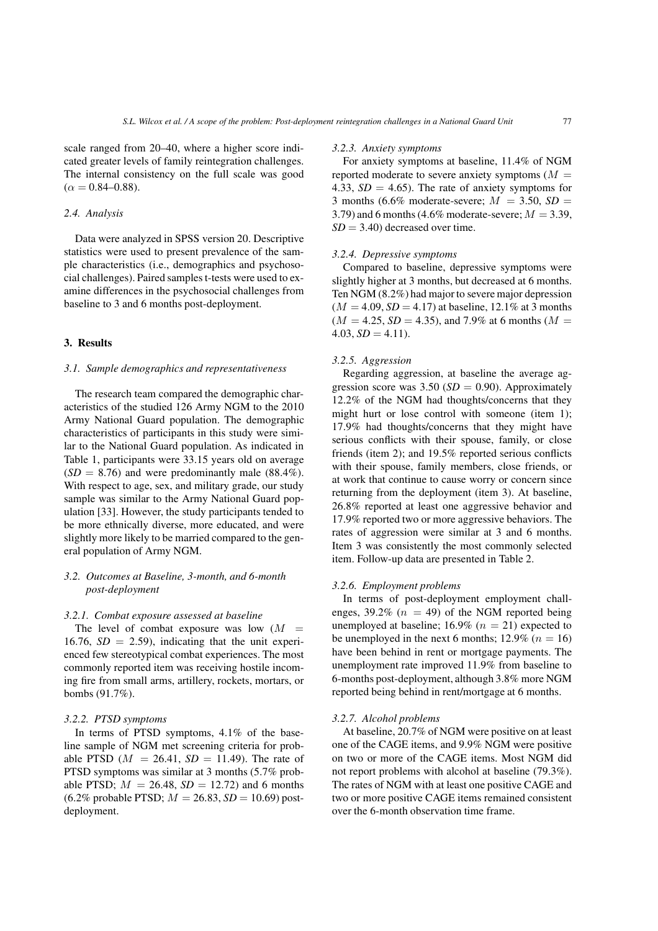scale ranged from 20–40, where a higher score indicated greater levels of family reintegration challenges. The internal consistency on the full scale was good  $(\alpha = 0.84 - 0.88)$ .

# *2.4. Analysis*

Data were analyzed in SPSS version 20. Descriptive statistics were used to present prevalence of the sample characteristics (i.e., demographics and psychosocial challenges). Paired samples t-tests were used to examine differences in the psychosocial challenges from baseline to 3 and 6 months post-deployment.

# 3. Results

## *3.1. Sample demographics and representativeness*

The research team compared the demographic characteristics of the studied 126 Army NGM to the 2010 Army National Guard population. The demographic characteristics of participants in this study were similar to the National Guard population. As indicated in Table 1, participants were 33.15 years old on average  $(SD = 8.76)$  and were predominantly male  $(88.4\%)$ . With respect to age, sex, and military grade, our study sample was similar to the Army National Guard population [33]. However, the study participants tended to be more ethnically diverse, more educated, and were slightly more likely to be married compared to the general population of Army NGM.

# *3.2. Outcomes at Baseline, 3-month, and 6-month post-deployment*

#### *3.2.1. Combat exposure assessed at baseline*

The level of combat exposure was low  $(M =$ 16.76,  $SD = 2.59$ ), indicating that the unit experienced few stereotypical combat experiences. The most commonly reported item was receiving hostile incoming fire from small arms, artillery, rockets, mortars, or bombs (91.7%).

## *3.2.2. PTSD symptoms*

In terms of PTSD symptoms, 4.1% of the baseline sample of NGM met screening criteria for probable PTSD ( $M = 26.41$ ,  $SD = 11.49$ ). The rate of PTSD symptoms was similar at 3 months (5.7% probable PTSD;  $M = 26.48$ ,  $SD = 12.72$ ) and 6 months  $(6.2\% \text{ probable PTSD}; M = 26.83, SD = 10.69) \text{ post-}$ deployment.

#### *3.2.3. Anxiety symptoms*

For anxiety symptoms at baseline, 11.4% of NGM reported moderate to severe anxiety symptoms  $(M =$ 4.33,  $SD = 4.65$ ). The rate of anxiety symptoms for 3 months (6.6% moderate-severe;  $M = 3.50$ ,  $SD =$ 3.79) and 6 months (4.6% moderate-severe;  $M = 3.39$ ,  $SD = 3.40$  decreased over time.

## *3.2.4. Depressive symptoms*

Compared to baseline, depressive symptoms were slightly higher at 3 months, but decreased at 6 months. Ten NGM (8.2%) had major to severe major depression  $(M = 4.09, SD = 4.17)$  at baseline, 12.1% at 3 months  $(M = 4.25, SD = 4.35)$ , and 7.9% at 6 months  $(M =$  $4.03, SD = 4.11$ .

## *3.2.5. Aggression*

Regarding aggression, at baseline the average aggression score was  $3.50$  (*SD* = 0.90). Approximately 12.2% of the NGM had thoughts/concerns that they might hurt or lose control with someone (item 1); 17.9% had thoughts/concerns that they might have serious conflicts with their spouse, family, or close friends (item 2); and 19.5% reported serious conflicts with their spouse, family members, close friends, or at work that continue to cause worry or concern since returning from the deployment (item 3). At baseline, 26.8% reported at least one aggressive behavior and 17.9% reported two or more aggressive behaviors. The rates of aggression were similar at 3 and 6 months. Item 3 was consistently the most commonly selected item. Follow-up data are presented in Table 2.

#### *3.2.6. Employment problems*

In terms of post-deployment employment challenges, 39.2% ( $n = 49$ ) of the NGM reported being unemployed at baseline; 16.9% ( $n = 21$ ) expected to be unemployed in the next 6 months;  $12.9\%$  ( $n = 16$ ) have been behind in rent or mortgage payments. The unemployment rate improved 11.9% from baseline to 6-months post-deployment, although 3.8% more NGM reported being behind in rent/mortgage at 6 months.

#### *3.2.7. Alcohol problems*

At baseline, 20.7% of NGM were positive on at least one of the CAGE items, and 9.9% NGM were positive on two or more of the CAGE items. Most NGM did not report problems with alcohol at baseline (79.3%). The rates of NGM with at least one positive CAGE and two or more positive CAGE items remained consistent over the 6-month observation time frame.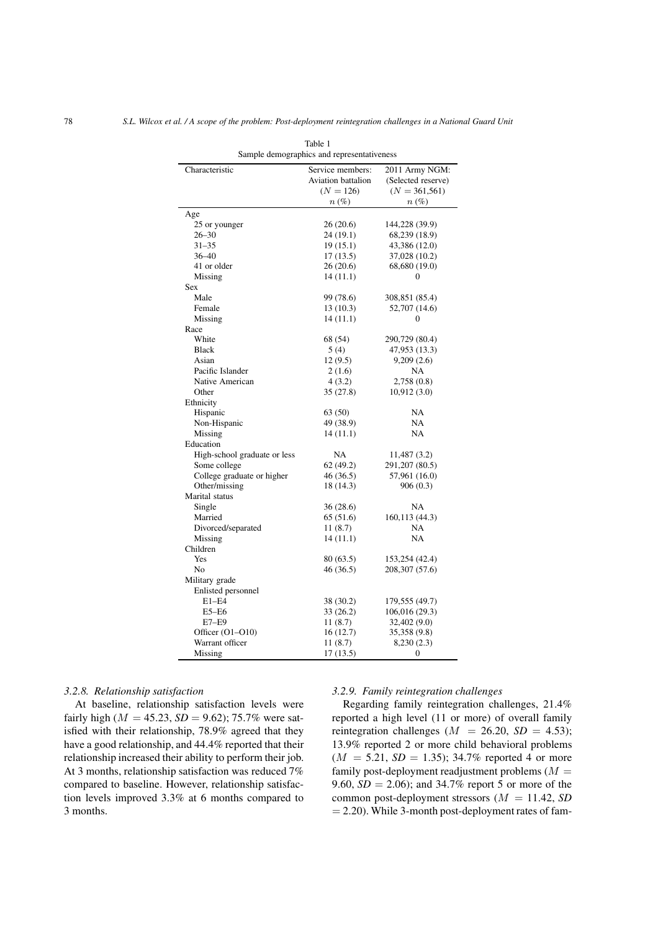| Sample demographics and representativeness |                                                       |                                                          |  |
|--------------------------------------------|-------------------------------------------------------|----------------------------------------------------------|--|
| Characteristic                             | Service members:<br>Aviation battalion<br>$(N = 126)$ | 2011 Army NGM:<br>(Selected reserve)<br>$(N = 361, 561)$ |  |
|                                            | $n\left(\%\right)$                                    | $n\left(\%\right)$                                       |  |
| Age                                        |                                                       |                                                          |  |
| 25 or younger                              | 26(20.6)                                              | 144,228 (39.9)                                           |  |
| $26 - 30$                                  | 24 (19.1)                                             | 68,239 (18.9)                                            |  |
| $31 - 35$                                  | 19 (15.1)                                             | 43,386 (12.0)                                            |  |
| $36 - 40$                                  | 17(13.5)                                              | 37,028 (10.2)                                            |  |
| 41 or older                                | 26 (20.6)                                             | 68,680 (19.0)                                            |  |
| Missing                                    | 14 (11.1)                                             | 0                                                        |  |
| <b>Sex</b>                                 |                                                       |                                                          |  |
| Male                                       | 99 (78.6)                                             | 308,851 (85.4)                                           |  |
| Female                                     | 13(10.3)                                              | 52,707 (14.6)                                            |  |
| Missing                                    | 14(11.1)                                              | $\Omega$                                                 |  |
| Race                                       |                                                       |                                                          |  |
| White                                      | 68 (54)                                               | 290,729 (80.4)                                           |  |
| <b>Black</b>                               | 5(4)                                                  | 47,953 (13.3)                                            |  |
| Asian                                      | 12(9.5)                                               | 9,209(2.6)                                               |  |
| Pacific Islander                           | 2(1.6)                                                | NA                                                       |  |
| Native American                            | 4(3.2)                                                | 2,758(0.8)                                               |  |
| Other                                      | 35(27.8)                                              | 10,912(3.0)                                              |  |
| Ethnicity                                  |                                                       |                                                          |  |
| Hispanic                                   | 63 (50)                                               | <b>NA</b>                                                |  |
| Non-Hispanic                               | 49 (38.9)                                             | NA                                                       |  |
| Missing                                    | 14(11.1)                                              | NA                                                       |  |
| Education                                  |                                                       |                                                          |  |
| High-school graduate or less               | NA                                                    | 11,487 (3.2)                                             |  |
| Some college                               | 62 (49.2)                                             | 291, 207 (80.5)                                          |  |
| College graduate or higher                 | 46(36.5)                                              | 57,961 (16.0)                                            |  |
| Other/missing                              | 18 (14.3)                                             | 906(0.3)                                                 |  |
| Marital status                             |                                                       |                                                          |  |
| Single                                     | 36(28.6)                                              | NA                                                       |  |
| Married                                    | 65 (51.6)                                             | 160,113 (44.3)                                           |  |
| Divorced/separated                         | 11(8.7)                                               | NA                                                       |  |
| Missing                                    | 14(11.1)                                              | NA                                                       |  |
| Children                                   |                                                       |                                                          |  |
| Yes                                        | 80 (63.5)                                             | 153,254 (42.4)                                           |  |
| No                                         | 46 (36.5)                                             | 208, 307 (57.6)                                          |  |
| Military grade                             |                                                       |                                                          |  |
| Enlisted personnel                         |                                                       |                                                          |  |
| $E1-E4$                                    | 38 (30.2)                                             | 179,555 (49.7)                                           |  |
| $E5 - E6$                                  | 33(26.2)                                              | 106,016 (29.3)                                           |  |
| E7-E9                                      | 11(8.7)                                               | 32,402 (9.0)                                             |  |
| Officer (O1-O10)                           | 16 (12.7)                                             | 35,358 (9.8)                                             |  |
| Warrant officer                            | 11(8.7)                                               | 8,230 (2.3)                                              |  |
| Missing                                    | 17(13.5)                                              | 0                                                        |  |

Table 1

#### *3.2.8. Relationship satisfaction*

At baseline, relationship satisfaction levels were fairly high ( $M = 45.23$ ,  $SD = 9.62$ ); 75.7% were satisfied with their relationship, 78.9% agreed that they have a good relationship, and 44.4% reported that their relationship increased their ability to perform their job. At 3 months, relationship satisfaction was reduced 7% compared to baseline. However, relationship satisfaction levels improved 3.3% at 6 months compared to 3 months.

#### *3.2.9. Family reintegration challenges*

Regarding family reintegration challenges, 21.4% reported a high level (11 or more) of overall family reintegration challenges ( $M = 26.20$ ,  $SD = 4.53$ ); 13.9% reported 2 or more child behavioral problems  $(M = 5.21, SD = 1.35)$ ; 34.7% reported 4 or more family post-deployment readjustment problems  $(M =$ 9.60,  $SD = 2.06$ ; and 34.7% report 5 or more of the common post-deployment stressors (M = 11.42, *SD*  $= 2.20$ ). While 3-month post-deployment rates of fam-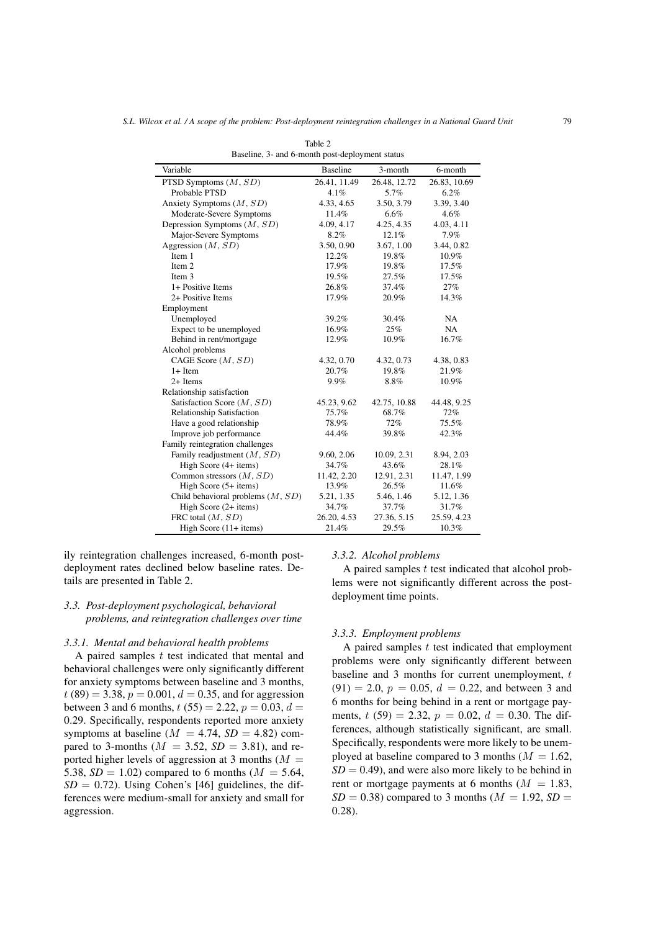|                                     | and o monan poor appropment sta |              |              |
|-------------------------------------|---------------------------------|--------------|--------------|
| Variable                            | <b>Baseline</b>                 | 3-month      | 6-month      |
| PTSD Symptoms $(M, SD)$             | 26.41, 11.49                    | 26.48, 12.72 | 26.83, 10.69 |
| Probable PTSD                       | 4.1%                            | 5.7%         | 6.2%         |
| Anxiety Symptoms $(M, SD)$          | 4.33, 4.65                      | 3.50, 3.79   | 3.39, 3.40   |
| Moderate-Severe Symptoms            | 11.4%                           | 6.6%         | 4.6%         |
| Depression Symptoms $(M, SD)$       | 4.09, 4.17                      | 4.25, 4.35   | 4.03, 4.11   |
| Major-Severe Symptoms               | 8.2%                            | 12.1%        | 7.9%         |
| Aggression $(M, SD)$                | 3.50, 0.90                      | 3.67, 1.00   | 3.44, 0.82   |
| Item 1                              | 12.2%                           | 19.8%        | 10.9%        |
| Item 2                              | 17.9%                           | 19.8%        | 17.5%        |
| Item 3                              | 19.5%                           | 27.5%        | 17.5%        |
| 1+ Positive Items                   | 26.8%                           | 37.4%        | 27%          |
| 2+ Positive Items                   | 17.9%                           | 20.9%        | 14.3%        |
| Employment                          |                                 |              |              |
| Unemployed                          | 39.2%                           | 30.4%        | <b>NA</b>    |
| Expect to be unemployed             | 16.9%                           | 25%          | NA           |
| Behind in rent/mortgage             | 12.9%                           | 10.9%        | 16.7%        |
| Alcohol problems                    |                                 |              |              |
| CAGE Score $(M, SD)$                | 4.32, 0.70                      | 4.32, 0.73   | 4.38, 0.83   |
| $1+$ Item                           | 20.7%                           | 19.8%        | 21.9%        |
| $2+$ Items                          | 9.9%                            | 8.8%         | 10.9%        |
| Relationship satisfaction           |                                 |              |              |
| Satisfaction Score $(M, SD)$        | 45.23, 9.62                     | 42.75, 10.88 | 44.48, 9.25  |
| <b>Relationship Satisfaction</b>    | 75.7%                           | 68.7%        | 72%          |
| Have a good relationship            | 78.9%                           | 72%          | 75.5%        |
| Improve job performance             | 44.4%                           | 39.8%        | 42.3%        |
| Family reintegration challenges     |                                 |              |              |
| Family readjustment $(M, SD)$       | 9.60, 2.06                      | 10.09, 2.31  | 8.94, 2.03   |
| High Score (4+ items)               | 34.7%                           | 43.6%        | 28.1%        |
| Common stressors $(M, SD)$          | 11.42, 2.20                     | 12.91, 2.31  | 11.47, 1.99  |
| High Score $(5+$ items)             | 13.9%                           | 26.5%        | 11.6%        |
| Child behavioral problems $(M, SD)$ | 5.21, 1.35                      | 5.46, 1.46   | 5.12, 1.36   |
| High Score $(2 + items)$            | 34.7%                           | 37.7%        | 31.7%        |
| FRC total $(M, SD)$                 | 26.20, 4.53                     | 27.36, 5.15  | 25.59, 4.23  |
| High Score $(11 +$ items)           | 21.4%                           | 29.5%        | 10.3%        |

Table 2 Baseline, 3- and 6-month post-deployment status

ily reintegration challenges increased, 6-month postdeployment rates declined below baseline rates. Details are presented in Table 2.

# *3.3. Post-deployment psychological, behavioral problems, and reintegration challenges over time*

#### *3.3.1. Mental and behavioral health problems*

A paired samples  $t$  test indicated that mental and behavioral challenges were only significantly different for anxiety symptoms between baseline and 3 months,  $t(89) = 3.38, p = 0.001, d = 0.35,$  and for aggression between 3 and 6 months,  $t(55) = 2.22$ ,  $p = 0.03$ ,  $d =$ 0.29. Specifically, respondents reported more anxiety symptoms at baseline ( $M = 4.74$ ,  $SD = 4.82$ ) compared to 3-months ( $M = 3.52$ ,  $SD = 3.81$ ), and reported higher levels of aggression at 3 months ( $M =$ 5.38,  $SD = 1.02$ ) compared to 6 months ( $M = 5.64$ ,  $SD = 0.72$ ). Using Cohen's [46] guidelines, the differences were medium-small for anxiety and small for aggression.

#### *3.3.2. Alcohol problems*

A paired samples  $t$  test indicated that alcohol problems were not significantly different across the postdeployment time points.

# *3.3.3. Employment problems*

A paired samples  $t$  test indicated that employment problems were only significantly different between baseline and  $3$  months for current unemployment,  $t$  $(91) = 2.0, p = 0.05, d = 0.22,$  and between 3 and 6 months for being behind in a rent or mortgage payments,  $t(59) = 2.32$ ,  $p = 0.02$ ,  $d = 0.30$ . The differences, although statistically significant, are small. Specifically, respondents were more likely to be unemployed at baseline compared to 3 months ( $M = 1.62$ ,  $SD = 0.49$ , and were also more likely to be behind in rent or mortgage payments at 6 months  $(M = 1.83,$  $SD = 0.38$ ) compared to 3 months ( $M = 1.92$ ,  $SD =$ 0.28).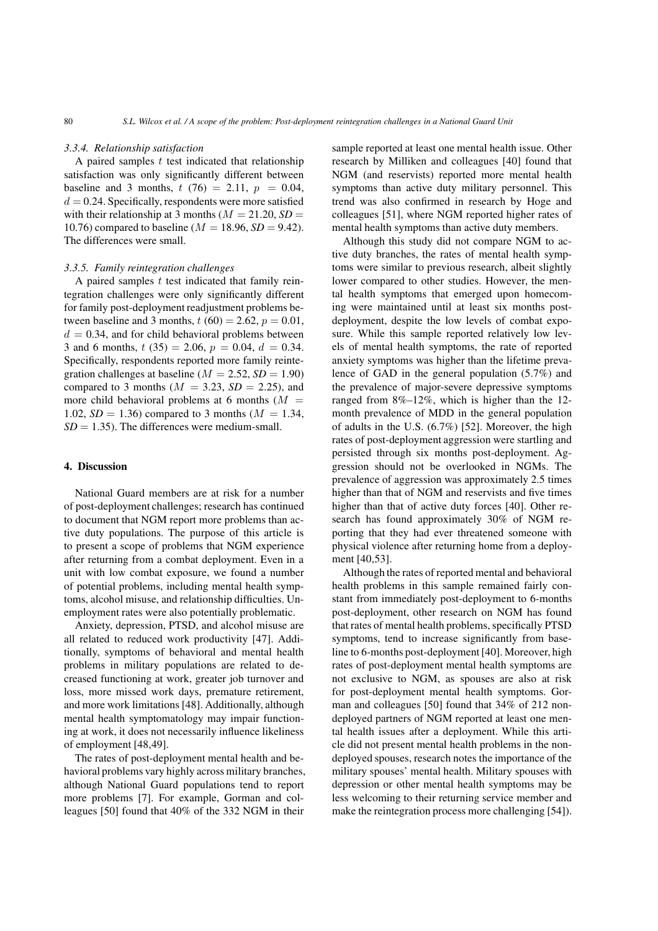#### *3.3.4. Relationship satisfaction*

A paired samples  $t$  test indicated that relationship satisfaction was only significantly different between baseline and 3 months,  $t(76) = 2.11$ ,  $p = 0.04$ ,  $d = 0.24$ . Specifically, respondents were more satisfied with their relationship at 3 months ( $M = 21.20$ ,  $SD =$ 10.76) compared to baseline ( $M = 18.96$ ,  $SD = 9.42$ ). The differences were small.

# *3.3.5. Family reintegration challenges*

A paired samples  $t$  test indicated that family reintegration challenges were only significantly different for family post-deployment readjustment problems between baseline and 3 months,  $t(60) = 2.62$ ,  $p = 0.01$ ,  $d = 0.34$ , and for child behavioral problems between 3 and 6 months,  $t(35) = 2.06$ ,  $p = 0.04$ ,  $d = 0.34$ . Specifically, respondents reported more family reintegration challenges at baseline ( $M = 2.52$ ,  $SD = 1.90$ ) compared to 3 months ( $M = 3.23$ ,  $SD = 2.25$ ), and more child behavioral problems at 6 months  $(M =$ 1.02,  $SD = 1.36$ ) compared to 3 months ( $M = 1.34$ ,  $SD = 1.35$ ). The differences were medium-small.

# 4. Discussion

National Guard members are at risk for a number of post-deployment challenges; research has continued to document that NGM report more problems than active duty populations. The purpose of this article is to present a scope of problems that NGM experience after returning from a combat deployment. Even in a unit with low combat exposure, we found a number of potential problems, including mental health symptoms, alcohol misuse, and relationship difficulties. Unemployment rates were also potentially problematic.

Anxiety, depression, PTSD, and alcohol misuse are all related to reduced work productivity [47]. Additionally, symptoms of behavioral and mental health problems in military populations are related to decreased functioning at work, greater job turnover and loss, more missed work days, premature retirement, and more work limitations [48]. Additionally, although mental health symptomatology may impair functioning at work, it does not necessarily influence likeliness of employment [48,49].

The rates of post-deployment mental health and behavioral problems vary highly across military branches, although National Guard populations tend to report more problems [7]. For example, Gorman and colleagues [50] found that 40% of the 332 NGM in their

sample reported at least one mental health issue. Other research by Milliken and colleagues [40] found that NGM (and reservists) reported more mental health symptoms than active duty military personnel. This trend was also confirmed in research by Hoge and colleagues [51], where NGM reported higher rates of mental health symptoms than active duty members.

Although this study did not compare NGM to active duty branches, the rates of mental health symptoms were similar to previous research, albeit slightly lower compared to other studies. However, the mental health symptoms that emerged upon homecoming were maintained until at least six months postdeployment, despite the low levels of combat exposure. While this sample reported relatively low levels of mental health symptoms, the rate of reported anxiety symptoms was higher than the lifetime prevalence of GAD in the general population (5.7%) and the prevalence of major-severe depressive symptoms ranged from 8%–12%, which is higher than the 12 month prevalence of MDD in the general population of adults in the U.S. (6.7%) [52]. Moreover, the high rates of post-deployment aggression were startling and persisted through six months post-deployment. Aggression should not be overlooked in NGMs. The prevalence of aggression was approximately 2.5 times higher than that of NGM and reservists and five times higher than that of active duty forces [40]. Other research has found approximately 30% of NGM reporting that they had ever threatened someone with physical violence after returning home from a deployment [40,53].

Although the rates of reported mental and behavioral health problems in this sample remained fairly constant from immediately post-deployment to 6-months post-deployment, other research on NGM has found that rates of mental health problems, specifically PTSD symptoms, tend to increase significantly from baseline to 6-months post-deployment [40]. Moreover, high rates of post-deployment mental health symptoms are not exclusive to NGM, as spouses are also at risk for post-deployment mental health symptoms. Gorman and colleagues [50] found that 34% of 212 nondeployed partners of NGM reported at least one mental health issues after a deployment. While this article did not present mental health problems in the nondeployed spouses, research notes the importance of the military spouses' mental health. Military spouses with depression or other mental health symptoms may be less welcoming to their returning service member and make the reintegration process more challenging [54]).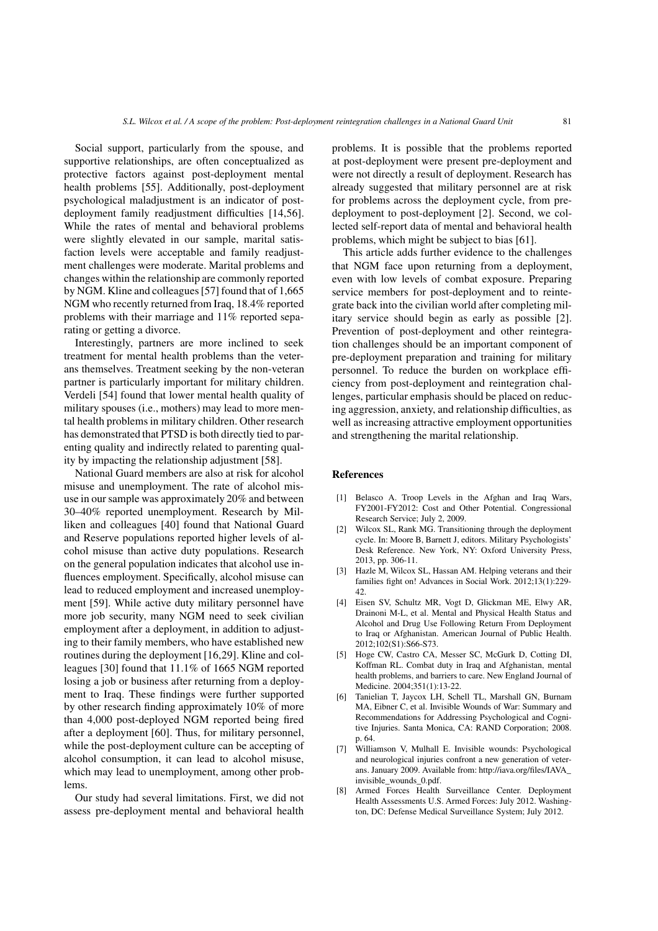Social support, particularly from the spouse, and supportive relationships, are often conceptualized as protective factors against post-deployment mental health problems [55]. Additionally, post-deployment psychological maladjustment is an indicator of postdeployment family readjustment difficulties [14,56]. While the rates of mental and behavioral problems were slightly elevated in our sample, marital satisfaction levels were acceptable and family readjustment challenges were moderate. Marital problems and changes within the relationship are commonly reported by NGM. Kline and colleagues [57] found that of 1,665 NGM who recently returned from Iraq, 18.4% reported problems with their marriage and 11% reported separating or getting a divorce.

Interestingly, partners are more inclined to seek treatment for mental health problems than the veterans themselves. Treatment seeking by the non-veteran partner is particularly important for military children. Verdeli [54] found that lower mental health quality of military spouses (i.e., mothers) may lead to more mental health problems in military children. Other research has demonstrated that PTSD is both directly tied to parenting quality and indirectly related to parenting quality by impacting the relationship adjustment [58].

National Guard members are also at risk for alcohol misuse and unemployment. The rate of alcohol misuse in our sample was approximately 20% and between 30–40% reported unemployment. Research by Milliken and colleagues [40] found that National Guard and Reserve populations reported higher levels of alcohol misuse than active duty populations. Research on the general population indicates that alcohol use influences employment. Specifically, alcohol misuse can lead to reduced employment and increased unemployment [59]. While active duty military personnel have more job security, many NGM need to seek civilian employment after a deployment, in addition to adjusting to their family members, who have established new routines during the deployment [16,29]. Kline and colleagues [30] found that 11.1% of 1665 NGM reported losing a job or business after returning from a deployment to Iraq. These findings were further supported by other research finding approximately 10% of more than 4,000 post-deployed NGM reported being fired after a deployment [60]. Thus, for military personnel, while the post-deployment culture can be accepting of alcohol consumption, it can lead to alcohol misuse, which may lead to unemployment, among other problems.

Our study had several limitations. First, we did not assess pre-deployment mental and behavioral health problems. It is possible that the problems reported at post-deployment were present pre-deployment and were not directly a result of deployment. Research has already suggested that military personnel are at risk for problems across the deployment cycle, from predeployment to post-deployment [2]. Second, we collected self-report data of mental and behavioral health problems, which might be subject to bias [61].

This article adds further evidence to the challenges that NGM face upon returning from a deployment, even with low levels of combat exposure. Preparing service members for post-deployment and to reintegrate back into the civilian world after completing military service should begin as early as possible [2]. Prevention of post-deployment and other reintegration challenges should be an important component of pre-deployment preparation and training for military personnel. To reduce the burden on workplace efficiency from post-deployment and reintegration challenges, particular emphasis should be placed on reducing aggression, anxiety, and relationship difficulties, as well as increasing attractive employment opportunities and strengthening the marital relationship.

#### References

- [1] Belasco A. Troop Levels in the Afghan and Iraq Wars, FY2001-FY2012: Cost and Other Potential. Congressional Research Service; July 2, 2009.
- [2] Wilcox SL, Rank MG. Transitioning through the deployment cycle. In: Moore B, Barnett J, editors. Military Psychologists' Desk Reference. New York, NY: Oxford University Press, 2013, pp. 306-11.
- [3] Hazle M, Wilcox SL, Hassan AM. Helping veterans and their families fight on! Advances in Social Work. 2012;13(1):229- 42.
- [4] Eisen SV, Schultz MR, Vogt D, Glickman ME, Elwy AR, Drainoni M-L, et al. Mental and Physical Health Status and Alcohol and Drug Use Following Return From Deployment to Iraq or Afghanistan. American Journal of Public Health. 2012;102(S1):S66-S73.
- [5] Hoge CW, Castro CA, Messer SC, McGurk D, Cotting DI, Koffman RL. Combat duty in Iraq and Afghanistan, mental health problems, and barriers to care. New England Journal of Medicine. 2004;351(1):13-22.
- [6] Tanielian T, Jaycox LH, Schell TL, Marshall GN, Burnam MA, Eibner C, et al. Invisible Wounds of War: Summary and Recommendations for Addressing Psychological and Cognitive Injuries. Santa Monica, CA: RAND Corporation; 2008. p. 64.
- [7] Williamson V, Mulhall E. Invisible wounds: Psychological and neurological injuries confront a new generation of veterans. January 2009. Available from: http://iava.org/files/IAVA\_ invisible\_wounds\_0.pdf.
- Armed Forces Health Surveillance Center. Deployment Health Assessments U.S. Armed Forces: July 2012. Washington, DC: Defense Medical Surveillance System; July 2012.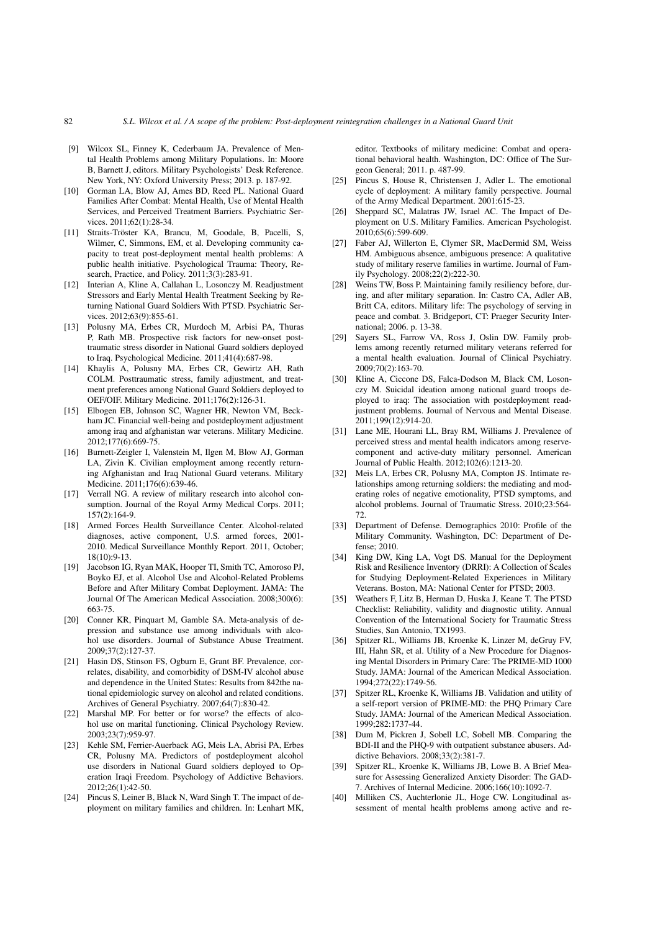- [9] Wilcox SL, Finney K, Cederbaum JA. Prevalence of Mental Health Problems among Military Populations. In: Moore B, Barnett J, editors. Military Psychologists' Desk Reference. New York, NY: Oxford University Press; 2013. p. 187-92.
- [10] Gorman LA, Blow AJ, Ames BD, Reed PL, National Guard Families After Combat: Mental Health, Use of Mental Health Services, and Perceived Treatment Barriers. Psychiatric Services. 2011;62(1):28-34.
- [11] Straits-Tröster KA, Brancu, M, Goodale, B, Pacelli, S, Wilmer, C, Simmons, EM, et al. Developing community capacity to treat post-deployment mental health problems: A public health initiative. Psychological Trauma: Theory, Research, Practice, and Policy. 2011;3(3):283-91.
- [12] Interian A, Kline A, Callahan L, Losonczy M. Readjustment Stressors and Early Mental Health Treatment Seeking by Returning National Guard Soldiers With PTSD. Psychiatric Services. 2012;63(9):855-61.
- [13] Polusny MA, Erbes CR, Murdoch M, Arbisi PA, Thuras P, Rath MB. Prospective risk factors for new-onset posttraumatic stress disorder in National Guard soldiers deployed to Iraq. Psychological Medicine. 2011;41(4):687-98.
- [14] Khaylis A, Polusny MA, Erbes CR, Gewirtz AH, Rath COLM. Posttraumatic stress, family adjustment, and treatment preferences among National Guard Soldiers deployed to OEF/OIF. Military Medicine. 2011;176(2):126-31.
- [15] Elbogen EB, Johnson SC, Wagner HR, Newton VM, Beckham JC. Financial well-being and postdeployment adjustment among iraq and afghanistan war veterans. Military Medicine. 2012;177(6):669-75.
- [16] Burnett-Zeigler I, Valenstein M, Ilgen M, Blow AJ, Gorman LA, Zivin K. Civilian employment among recently returning Afghanistan and Iraq National Guard veterans. Military Medicine. 2011;176(6):639-46.
- [17] Verrall NG. A review of military research into alcohol consumption. Journal of the Royal Army Medical Corps. 2011; 157(2):164-9.
- [18] Armed Forces Health Surveillance Center. Alcohol-related diagnoses, active component, U.S. armed forces, 2001- 2010. Medical Surveillance Monthly Report. 2011, October;  $18(10)\cdot9-13$ .
- [19] Jacobson IG, Ryan MAK, Hooper TI, Smith TC, Amoroso PJ, Boyko EJ, et al. Alcohol Use and Alcohol-Related Problems Before and After Military Combat Deployment. JAMA: The Journal Of The American Medical Association. 2008;300(6): 663-75.
- [20] Conner KR, Pinquart M, Gamble SA. Meta-analysis of depression and substance use among individuals with alcohol use disorders. Journal of Substance Abuse Treatment. 2009;37(2):127-37.
- [21] Hasin DS, Stinson FS, Ogburn E, Grant BF. Prevalence, correlates, disability, and comorbidity of DSM-IV alcohol abuse and dependence in the United States: Results from 842the national epidemiologic survey on alcohol and related conditions. Archives of General Psychiatry. 2007;64(7):830-42.
- [22] Marshal MP. For better or for worse? the effects of alcohol use on marital functioning. Clinical Psychology Review. 2003;23(7):959-97.
- [23] Kehle SM, Ferrier-Auerback AG, Meis LA, Abrisi PA, Erbes CR, Polusny MA. Predictors of postdeployment alcohol use disorders in National Guard soldiers deployed to Operation Iraqi Freedom. Psychology of Addictive Behaviors. 2012;26(1):42-50.
- [24] Pincus S, Leiner B, Black N, Ward Singh T. The impact of deployment on military families and children. In: Lenhart MK,

editor. Textbooks of military medicine: Combat and operational behavioral health. Washington, DC: Office of The Surgeon General; 2011. p. 487-99.

- [25] Pincus S, House R, Christensen J, Adler L. The emotional cycle of deployment: A military family perspective. Journal of the Army Medical Department. 2001:615-23.
- [26] Sheppard SC, Malatras JW, Israel AC. The Impact of Deployment on U.S. Military Families. American Psychologist. 2010;65(6):599-609.
- [27] Faber AJ, Willerton E, Clymer SR, MacDermid SM, Weiss HM. Ambiguous absence, ambiguous presence: A qualitative study of military reserve families in wartime. Journal of Family Psychology. 2008;22(2):222-30.
- [28] Weins TW, Boss P. Maintaining family resiliency before, during, and after military separation. In: Castro CA, Adler AB, Britt CA, editors. Military life: The psychology of serving in peace and combat. 3. Bridgeport, CT: Praeger Security International; 2006. p. 13-38.
- [29] Sayers SL, Farrow VA, Ross J, Oslin DW. Family problems among recently returned military veterans referred for a mental health evaluation. Journal of Clinical Psychiatry. 2009;70(2):163-70.
- [30] Kline A, Ciccone DS, Falca-Dodson M, Black CM, Losonczy M. Suicidal ideation among national guard troops deployed to iraq: The association with postdeployment readjustment problems. Journal of Nervous and Mental Disease. 2011;199(12):914-20.
- [31] Lane ME, Hourani LL, Bray RM, Williams J. Prevalence of perceived stress and mental health indicators among reservecomponent and active-duty military personnel. American Journal of Public Health. 2012;102(6):1213-20.
- [32] Meis LA, Erbes CR, Polusny MA, Compton JS. Intimate relationships among returning soldiers: the mediating and moderating roles of negative emotionality, PTSD symptoms, and alcohol problems. Journal of Traumatic Stress. 2010;23:564- 72.
- [33] Department of Defense. Demographics 2010: Profile of the Military Community. Washington, DC: Department of Defense; 2010.
- [34] King DW, King LA, Vogt DS. Manual for the Deployment Risk and Resilience Inventory (DRRI): A Collection of Scales for Studying Deployment-Related Experiences in Military Veterans. Boston, MA: National Center for PTSD; 2003.
- [35] Weathers F, Litz B, Herman D, Huska J, Keane T. The PTSD Checklist: Reliability, validity and diagnostic utility. Annual Convention of the International Society for Traumatic Stress Studies, San Antonio, TX1993.
- [36] Spitzer RL, Williams JB, Kroenke K, Linzer M, deGruy FV, III, Hahn SR, et al. Utility of a New Procedure for Diagnosing Mental Disorders in Primary Care: The PRIME-MD 1000 Study. JAMA: Journal of the American Medical Association. 1994;272(22):1749-56.
- [37] Spitzer RL, Kroenke K, Williams JB. Validation and utility of a self-report version of PRIME-MD: the PHQ Primary Care Study. JAMA: Journal of the American Medical Association. 1999;282:1737-44.
- [38] Dum M, Pickren J, Sobell LC, Sobell MB. Comparing the BDI-II and the PHQ-9 with outpatient substance abusers. Addictive Behaviors. 2008;33(2):381-7.
- [39] Spitzer RL, Kroenke K, Williams JB, Lowe B. A Brief Measure for Assessing Generalized Anxiety Disorder: The GAD-7. Archives of Internal Medicine. 2006;166(10):1092-7.
- [40] Milliken CS, Auchterlonie JL, Hoge CW. Longitudinal assessment of mental health problems among active and re-